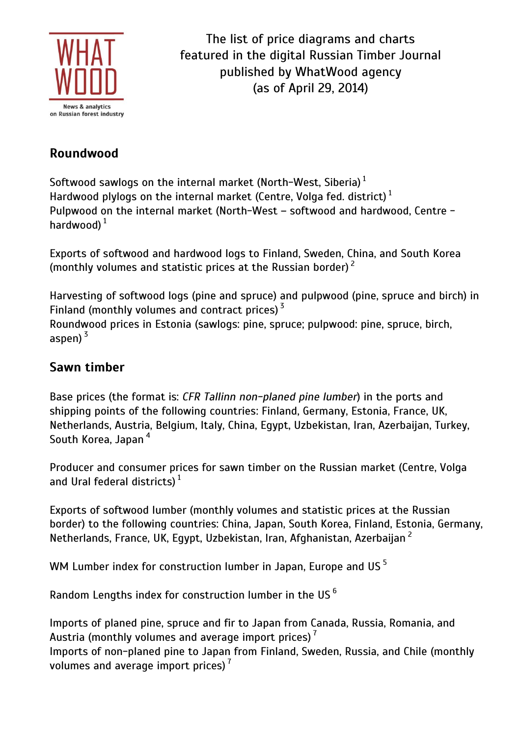

The list of price diagrams and charts featured in the digital Russian Timber Journal published by WhatWood agency (as of April 29, 2014)

# **Roundwood**

Softwood sawlogs on the internal market (North-West, Siberia)  $^{\rm 1}$ Hardwood plylogs on the internal market (Centre, Volga fed. district)  $^{\rm 1}$ Pulpwood on the internal market (North-West – softwood and hardwood, Centre hardwood)  $^{\rm 1}$ 

Exports of softwood and hardwood logs to Finland, Sweden, China, and South Korea (monthly volumes and statistic prices at the Russian border)  $^{\mathsf{2}}$ 

Harvesting of softwood logs (pine and spruce) and pulpwood (pine, spruce and birch) in Finland (monthly volumes and contract prices)<sup>3</sup> Roundwood prices in Estonia (sawlogs: pine, spruce; pulpwood: pine, spruce, birch, aspen) <sup>3</sup>

# **Sawn timber**

Base prices (the format is: *CFR Tallinn non-planed pine lumber*) in the ports and shipping points of the following countries: Finland, Germany, Estonia, France, UK, Netherlands, Austria, Belgium, Italy, China, Egypt, Uzbekistan, Iran, Azerbaijan, Turkey, South Korea, Japan<sup>4</sup>

Producer and consumer prices for sawn timber on the Russian market (Centre, Volga and Ural federal districts)  $^{\rm 1}$ 

Exports of softwood lumber (monthly volumes and statistic prices at the Russian border) to the following countries: China, Japan, South Korea, Finland, Estonia, Germany, Netherlands, France, UK, Egypt, Uzbekistan, Iran, Afghanistan, Azerbaijan <sup>2</sup>

WM Lumber index for construction lumber in Japan. Europe and US $<sup>5</sup>$ </sup>

Random Lengths index for construction lumber in the US <sup>6</sup>

Imports of planed pine, spruce and fir to Japan from Canada, Russia, Romania, and Austria (monthly volumes and average import prices)  $^7$ Imports of non-planed pine to Japan from Finland, Sweden, Russia, and Chile (monthly volumes and average import prices)  $^7$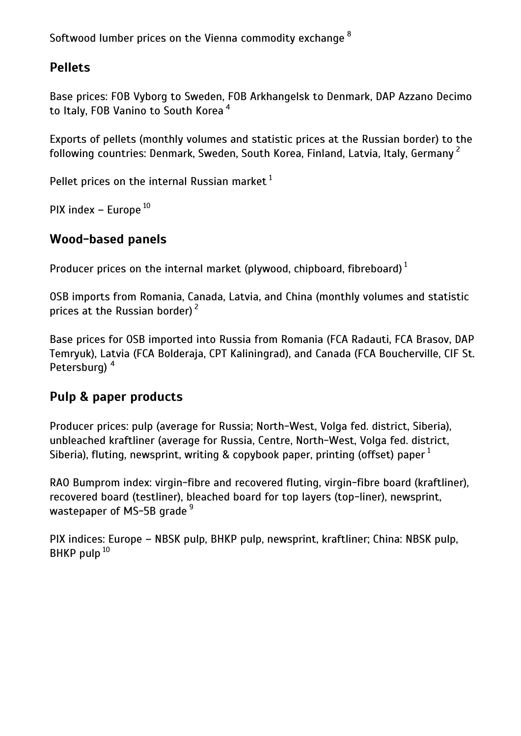Softwood lumber prices on the Vienna commodity exchange <sup>8</sup>

# **Pellets**

Base prices: FOB Vyborg to Sweden, FOB Arkhangelsk to Denmark, DAP Azzano Decimo to Italy, FOB Vanino to South Korea<sup>4</sup>

Exports of pellets (monthly volumes and statistic prices at the Russian border) to the following countries: Denmark, Sweden, South Korea, Finland, Latvia, Italy, Germany<sup>2</sup>

Pellet prices on the internal Russian market  $1$ 

PIX index – Europe  $^{10}$ 

### **Wood-based panels**

Producer prices on the internal market (plywood, chipboard, fibreboard)  $^{\rm 1}$ 

OSB imports from Romania, Canada, Latvia, and China (monthly volumes and statistic prices at the Russian border) <sup>2</sup>

Base prices for OSB imported into Russia from Romania (FCA Radauti, FCA Brasov, DAP Temryuk), Latvia (FCA Bolderaja, CPT Kaliningrad), and Canada (FCA Boucherville, CIF St. Petersburg)<sup>4</sup>

### **Pulp & paper products**

Producer prices: pulp (average for Russia; North-West, Volga fed. district, Siberia), unbleached kraftliner (average for Russia, Centre, North-West, Volga fed. district, Siberia), fluting, newsprint, writing & copybook paper, printing (offset) paper  $1$ 

RAO Bumprom index: virgin-fibre and recovered fluting, virgin-fibre board (kraftliner), recovered board (testliner), bleached board for top layers (top-liner), newsprint, wastepaper of MS-5B grade<sup>9</sup>

PIX indices: Europe – NBSK pulp, BHKP pulp, newsprint, kraftliner; China: NBSK pulp, BHKP pulp<sup>10</sup>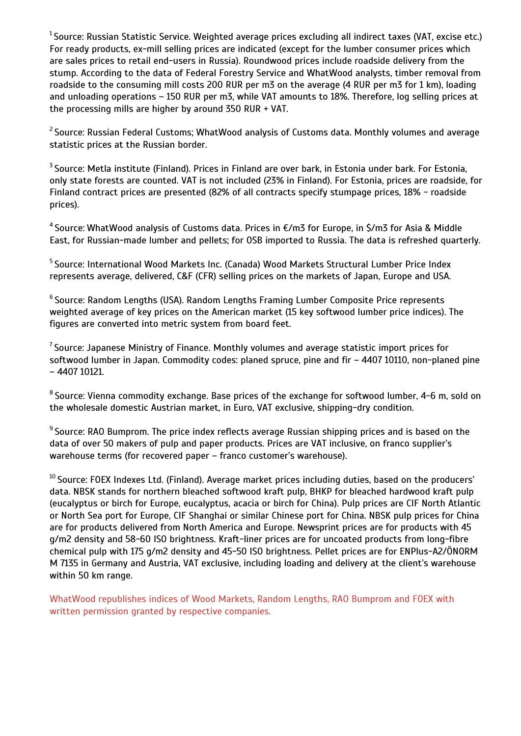$1$ Source: Russian Statistic Service. Weighted average prices excluding all indirect taxes (VAT, excise etc.) For ready products, ex-mill selling prices are indicated (except for the lumber consumer prices which are sales prices to retail end-users in Russia). Roundwood prices include roadside delivery from the stump. According to the data of Federal Forestry Service and WhatWood analysts, timber removal from roadside to the consuming mill costs 200 RUR per m3 on the average (4 RUR per m3 for 1 km), loading and unloading operations – 150 RUR per m3, while VAT amounts to 18%. Therefore, log selling prices at the processing mills are higher by around 350 RUR + VAT.

<sup>2</sup> Source: Russian Federal Customs; WhatWood analysis of Customs data. Monthly volumes and average statistic prices at the Russian border.

<sup>3</sup> Source: Metla institute (Finland). Prices in Finland are over bark, in Estonia under bark. For Estonia, only state forests are counted. VAT is not included (23% in Finland). For Estonia, prices are roadside, for Finland contract prices are presented (82% of all contracts specify stumpage prices, 18% - roadside prices).

<sup>4</sup>Source: WhatWood analysis of Customs data. Prices in €/m3 for Europe, in \$/m3 for Asia & Middle East, for Russian-made lumber and pellets; for OSB imported to Russia. The data is refreshed quarterly.

<sup>5</sup> Source: International Wood Markets Inc. (Canada) Wood Markets Structural Lumber Price Index represents average, delivered, C&F (CFR) selling prices on the markets of Japan, Europe and USA.

 $^6$  Source: Random Lengths (USA). Random Lengths Framing Lumber Composite Price represents weighted average of key prices on the American market (15 key softwood lumber price indices). The figures are converted into metric system from board feet.

 $^7$ Source: Japanese Ministry of Finance. Monthly volumes and average statistic import prices for softwood lumber in Japan. Commodity codes: planed spruce, pine and fir – 4407 10110, non-planed pine – 4407 10121.

 $^8$ Source: Vienna commodity exchange. Base prices of the exchange for softwood lumber, 4-6 m, sold on the wholesale domestic Austrian market, in Euro, VAT exclusive, shipping-dry condition.

 $9$  Source: RAO Bumprom. The price index reflects average Russian shipping prices and is based on the data of over 50 makers of pulp and paper products. Prices are VAT inclusive, on franco supplier's warehouse terms (for recovered paper – franco customer's warehouse).

 $10$  Source: FOEX Indexes Ltd. (Finland). Average market prices including duties, based on the producers' data. NBSK stands for northern bleached softwood kraft pulp, BHKP for bleached hardwood kraft pulp (eucalyptus or birch for Europe, eucalyptus, acacia or birch for China). Pulp prices are CIF North Atlantic or North Sea port for Europe, CIF Shanghai or similar Chinese port for China. NBSK pulp prices for China are for products delivered from North America and Europe. Newsprint prices are for products with 45 g/m2 density and 58-60 ISO brightness. Kraft-liner prices are for uncoated products from long-fibre chemical pulp with 175 g/m2 density and 45-50 ISO brightness. Pellet prices are for ENPlus-A2/ÖNORM M 7135 in Germany and Austria, VAT exclusive, including loading and delivery at the client's warehouse within 50 km range.

WhatWood republishes indices of Wood Markets, Random Lengths, RAO Bumprom and FOEX with written permission granted by respective companies.